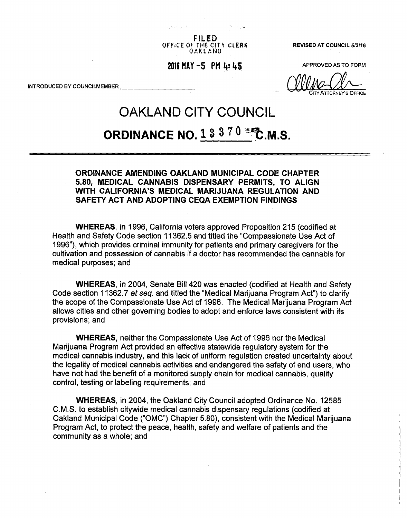**FILED**  OFFICE OF THE CITY CLERK REVISED AT COUNCIL 5/3/16 OAKLAND

 $2016$  MAY  $-5$  PM  $\mu$   $\mu$  5  $\mu$  and  $\mu$  approved as to form

CITY ATTORNEY'S OFFICE

INTRODUCED BY COUNCILMEMBER

# OAKLAND CITY COUNCIL **ORDINANCE NO. 1 3 3 7 0**  $\equiv$  **₹ M.S.**

## **ORDINANCE AMENDING OAKLAND MUNICIPAL CODE CHAPTER 5.80, MEDICAL CANNABIS DISPENSARY PERMITS, TO ALIGN WITH CALIFORNIA'S MEDICAL MARIJUANA REGULATION AND SAFETY ACT AND ADOPTING CEQA EXEMPTION FINDINGS**

**WHEREAS,** in 1996, California voters approved Proposition 215 (codified at Health and Safety Code section 11362.5 and titled the "Compassionate Use Act of 1996"), which provides criminal immunity for patients and primary caregivers for the cultivation and possession of cannabis if a doctor has recommended the cannabis for medical purposes; and

**WHEREAS,** in 2004, Senate Bill 420 was enacted (codified at Health and Safety Code section 11362.7 *et seq.* and titled the "Medical Marijuana Program Act") to clarify the scope of the Compassionate Use Act of 1996. The Medical Marijuana Program Act allows cities and other governing bodies to adopt and enforce laws consistent with its provisions; and

**WHEREAS,** neither the Compassionate Use Act of 1996 nor the Medical Marijuana Program Act provided an effective statewide regulatory system for the medical cannabis industry, and this lack of uniform regulation created uncertainty about the legality of medical cannabis activities and endangered the safety of end users, who have not had the benefit of a monitored supply chain for medical cannabis, quality control, testing or labeling requirements; and

**WHEREAS,** in 2004, the Oakland City Council adopted Ordinance No. 12585 C.M.S. to establish citywide medical cannabis dispensary regulations (codified at Oakland Municipal Code ("OMC") Chapter 5.80), consistent with the Medical Marijuana Program Act, to protect the peace, health, safety and welfare of patients and the community as a whole; and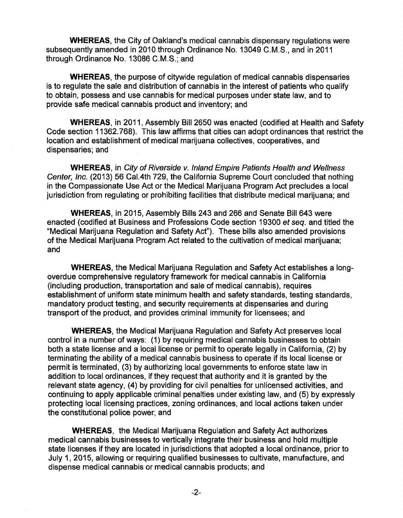**WHEREAS,** the City of Oakland's medical cannabis dispensary regulations were subsequently amended in 2010 through Ordinance No. 13049 C.M.S., and in 2011 through Ordinance No. 13086 C.M.S.; and

**WHEREAS,** the purpose of citywide regulation of medical cannabis dispensaries is to regulate the sale and distribution of cannabis in the interest of patients who qualify to obtain, possess and use cannabis for medical purposes under state law, and to provide safe medical cannabis product and inventory; and

**WHEREAS,** in 2011, Assembly Bill 2650 was enacted (codified at Health and Safety Code section 11362.768). This law affirms that cities can adopt ordinances that restrict the location and establishment of medical marijuana collectives, cooperatives, and dispensaries; and

**WHEREAS,** in *City of Riverside v. Inland Empire Patients Health and Wellness Center, Inc.* (2013) 56 Cal.4th 729, the California Supreme Court concluded that nothing in the Compassionate Use Act or the Medical Marijuana Program Act precludes a local jurisdiction from regulating or prohibiting facilities that distribute medical marijuana; and

**WHEREAS,** in 2015, Assembly Bills 243 and 266 and Senate Bill 643 were enacted (codified at Business and Professions Code section 19300 *et seq.* and titled the "Medical Marijuana Regulation and Safety Act"). These bills also amended provisions of the Medical Marijuana Program Act related to the cultivation of medical marijuana; and

**WHEREAS,** the Medical Marijuana Regulation and Safety Act establishes a longoverdue comprehensive regulatory framework for medical cannabis in California (including production, transportation and sale of medical cannabis), requires establishment of uniform state minimum health and safety standards, testing standards, mandatory product testing, and security requirements at dispensaries and during transport of the product, and provides criminal immunity for licensees; and

**WHEREAS,** the Medical Marijuana Regulation and Safety Act preserves local control in a number of ways: (1) by requiring medical cannabis businesses to obtain both a state license and a local license or permit to operate legally in California, (2) by terminating the ability of a medical cannabis business to operate if its local license or permit is terminated, (3) by authorizing local governments to enforce state law in addition to local ordinances, if they request that authority and it is granted by the relevant state agency, (4) by providing for civil penalties for unlicensed activities, and continuing to apply applicable criminal penalties under existing law, and (5) by expressly protecting local licensing practices, zoning ordinances, and local actions taken under the constitutional police power; and

**WHEREAS,** the Medical Marijuana Regulation and Safety Act authorizes medical cannabis businesses to vertically integrate their business and hold multiple state licenses if they are located in jurisdictions that adopted a local ordinance, prior to July 1, 2015, allowing or requiring qualified businesses to cultivate, manufacture, and dispense medical cannabis or medical cannabis products; and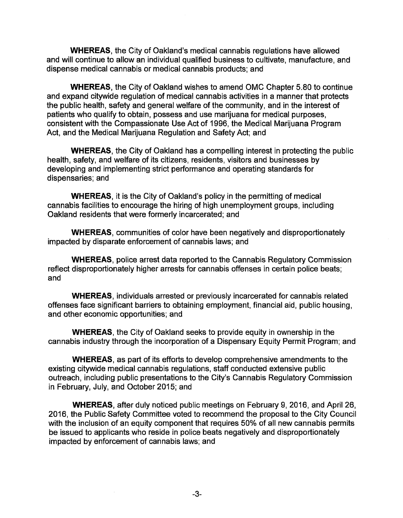**WHEREAS,** the City of Oakland's medical cannabis regulations have allowed and will continue to allow an individual qualified business to cultivate, manufacture, and dispense medical cannabis or medical cannabis products; and

**WHEREAS,** the City of Oakland wishes to amend OMC Chapter 5.80 to continue and expand citywide regulation of medical cannabis activities in a manner that protects the public health, safety and general welfare of the community, and in the interest of patients who qualify to obtain, possess and use marijuana for medical purposes, consistent with the Compassionate Use Act of 1996, the Medical Marijuana Program Act, and the Medical Marijuana Regulation and Safety Act; and

**WHEREAS,** the City of Oakland has a compelling interest in protecting the public health, safety, and welfare of its citizens, residents, visitors and businesses by developing and implementing strict performance and operating standards for dispensaries; and

**WHEREAS,** it is the City of Oakland's policy in the permitting of medical cannabis facilities to encourage the hiring of high unemployment groups, including Oakland residents that were formerly incarcerated; and

**WHEREAS,** communities of color have been negatively and disproportionately impacted by disparate enforcement of cannabis laws; and

**WHEREAS,** police arrest data reported to the Cannabis Regulatory Commission reflect disproportionately higher arrests for cannabis offenses in certain police beats; and

**WHEREAS,** individuals arrested or previously incarcerated for cannabis related offenses face significant barriers to obtaining employment, financial aid, public housing, and other economic opportunities; and

**WHEREAS,** the City of Oakland seeks to provide equity in ownership in the cannabis industry through the incorporation of a Dispensary Equity Permit Program; and

**WHEREAS,** as part of its efforts to develop comprehensive amendments to the existing citywide medical cannabis regulations, staff conducted extensive public outreach, including public presentations to the City's Cannabis Regulatory Commission in February, July, and October 2015; and

**WHEREAS,** after duly noticed public meetings on February 9, 2016, and April 26, 2016, the Public Safety Committee voted to recommend the proposal to the City Council with the inclusion of an equity component that requires 50% of all new cannabis permits be issued to applicants who reside in police beats negatively and disproportionately impacted by enforcement of cannabis laws; and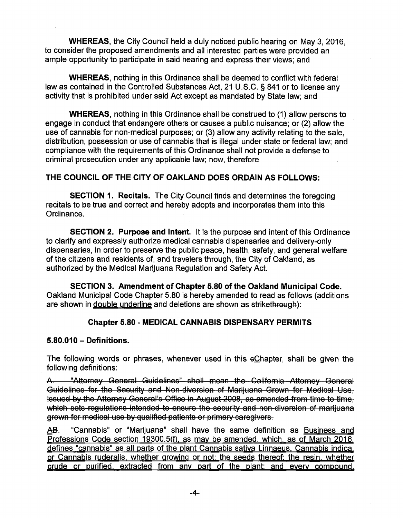**WHEREAS,** the City Council held a duly noticed public hearing on May 3, 2016, to consider the proposed amendments and all interested parties were provided an ample opportunity to participate in said hearing and express their views; and

**WHEREAS,** nothing in this Ordinance shall be deemed to conflict with federal law as contained in the Controlled Substances Act, 21 U.S.C. § 841 or to license any activity that is prohibited under said Act except as mandated by State law; and

**WHEREAS,** nothing in this Ordinance shall be construed to (1) allow persons to engage in conduct that endangers others or causes a public nuisance; or (2) allow the use of cannabis for non-medical purposes; or (3) allow any activity relating to the sale, distribution, possession or use of cannabis that is illegal under state or federal law; and compliance with the requirements of this Ordinance shall not provide a defense to criminal prosecution under any applicable law; now, therefore

## **THE COUNCIL OF THE CITY OF OAKLAND DOES ORDAIN AS FOLLOWS:**

**SECTION 1. Recitals.** The City Council finds and determines the foregoing recitals to be true and correct and hereby adopts and incorporates them into this Ordinance.

**SECTION 2. Purpose and Intent.** It is the purpose and intent of this Ordinance to clarify and expressly authorize medical cannabis dispensaries and delivery-only dispensaries, in order to preserve the public peace, health, safety, and general welfare of the citizens and residents of, and travelers through, the City of Oakland, as authorized by the Medical Marijuana Regulation and Safety Act.

**SECTION 3. Amendment of Chapter 5.80 of the Oakland Municipal Code.**  Oakland Municipal Code Chapter 5.80 is hereby amended to read as follows (additions are shown in double underline and deletions are shown as strikethrough):

# **Chapter 5.80 - MEDICAL CANNABIS DISPENSARY PERMITS**

## **5.80.010 - Definitions.**

The following words or phrases, whenever used in this eChapter, shall be given the following definitions:

A: "Attorney General Guidelines" shall mean the California Attorney General Guidelines for the Security and Non diversion of Marijuana Grown for Medical Use, issued by the Attorney General's Office in August 2008, as amended from time to time, which sets regulations intended to ensure the security and non-diversion of marijuana grown for medical use by qualified patients or primary caregivers.

AS. "Cannabis" or "Marijuana" shall have the same definition as Business and Professions Code section 19300.5(f), as may be amended, which, as of March 2016. defines "cannabis" as all parts of the plant Cannabis sativa Linnaeus. Cannabis indica. or Cannabis ruderalis. whether growing or not: the seeds thereof: the resin, whether crude or purified, extracted from anv part of the plant: and every compound.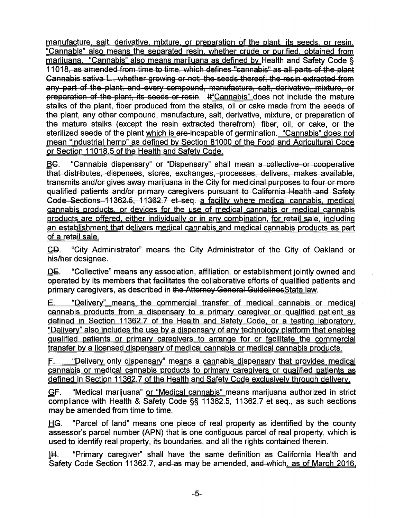manufacture, salt, derivative, mixture, or preparation of the plant, its seeds, or resin. "Cannabis" also means the separated resin, whether crude or purified, obtained from marijuana. "Cannabis" also means marijuana as defined bv Health and Safety Code § 11018, as amended from time to time, which defines "cannabis" as all parts of the plant Cannabis sativa L., whether growing or not; the seeds thereof; the resin extracted from any part of the plant; and every compound, manufacture, salt, derivative, mixture, or preparation of the plant, its seeds or resin. It "Cannabis" does not include the mature stalks of the plant, fiber produced from the stalks, oil or cake made from the seeds of the plant, any other compound, manufacture, salt, derivative, mixture, or preparation of the mature stalks (except the resin extracted therefrom), fiber, oil, or cake, or the sterilized seeds of the plant which is are-incapable of germination. "Cannabis" does not mean "industrial hemp" as defined bv Section 81000 of the Food and Agricultural Code or Section 11018.5 of the Health and Safety Code.

EG. "Cannabis dispensary" or "Dispensary" shall mean a collective or cooperative that distributes, dispenses, stores, exchanges, processes, delivers, makes available, transmits and/or gives away marijuana in the City for medicinal purposes to four or more qualified patients and/or primary caregivers pursuant to California Health and Safety Code Sections 11362.5, 11362.7 et seq. a facility where medical cannabis, medical cannabis products, or devices for the use of medical cannabis or medical cannabis products are offered, either individually or in anv combination, for retail sale, including an establishment that delivers medical cannabis and medical cannabis products as part of a retail sale.

£©. "City Administrator" means the City Administrator of the City of Oakland or his/her designee.

DE. "Collective" means any association, affiliation, or establishment jointly owned and operated by its members that facilitates the collaborative efforts of qualified patients and primary caregivers, as described in the Attorney General GuidelinesState law.

E. "Delivery" means the commercial transfer of medical cannabis or medical cannabis products from a dispensary to a primary caregiver or Qualified patient as defined in Section 11362.7 of the Health and Safety Code, or a testing laboratory. "Delivery" also includes the use bv a dispensary of anv technology platform that enables qualified patients or primary caregivers to arrange for or facilitate the commercial transfer bv a licensed dispensary of medical cannabis or medical cannabis products.

F. "Delivery only dispensary" means a cannabis dispensary that provides medical cannabis or medical cannabis products to primary caregivers or Qualified patients as defined in Section 11362.7 of the Health and Safety Code exclusively through delivery.

*QF.* "Medical marijuana" or "Medical cannabis" means marijuana authorized in strict compliance with Health & Safety Code §§ 11362.5, 11362.7 et seq., as such sections may be amended from time to time.

HG. "Parcel of land" means one piece of real property as identified by the county assessor's parcel number (APN) that is one contiguous parcel of real property, which is used to identify real property, its boundaries, and all the rights contained therein.

1H. "Primary caregiver" shall have the same definition as California Health and Safety Code Section 11362.7, and-as may be amended, and-which. as of March 2016.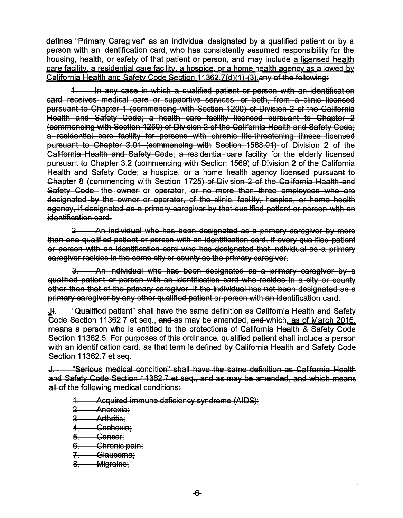defines "Primary Caregiver" as an individual designated by a qualified patient or by a person with an identification card, who has consistently assumed responsibility for the housing, health, or safety of that patient or person, and may include a licensed health care facility, a residential care facility, a hospice, or a home health aaencv as allowed bv California Health and Safety Code Section  $11362.7(d)(1)-(3)$  any of the following:

*A-.* In any case in which a qualified patient or person with an identification card receives medical care or supportive services, or both, from a clinic licensed pursuant to Chapter 1 (commencing with Section 1200) of Division 2 of the California Health and Safety Code; a health care facility licensed pursuant to Chapter 2 (commencing with Section 1250) of Division 2 of the California Health and Safety Code; a residential care facility for persons with chronic life threatening illness licensed pursuant to Chapter 3.01 (commencing with Section 1568.01) of Division 2 of the California Health and Safety Code; a residential care facility for the elderly licensed pursuant to Chapter 3.2 (commencing with Section 1569) of Division 2 of the California Health and Safety Code; a hospice, or a home health agency licensed pursuant to Chapter 8 (commencing with Section 1725) of Division 2 of the California Health and Safety Code; the owner or operator, or no more than three employees who are designated by the owner or operator, of the clinic, facility, hospico, or home health agency, if designated as a primary caregiver by that qualified patient or person with an identification card.

*2r.* An individual who has been designated as a primary caregiver by more than one qualified patient or person with an identification card, if every qualified patient or person with an identification card who has designated that individual as a primary caregiver resides in the same city or county as the primary caregiver.

& An individual who has been designated as a primary caregiver by a qualified patient or person with an identification card who resides in a city or county other than that of the primary caregiver, if the individual has not been designated as a primary caregiver by any other qualified patient or person with an identification card.

 $J<sub>H</sub>$ . "Qualified patient" shall have the same definition as California Health and Safety Code Section 11362.7 et seq., and-as may be amended, and-which. as of March 2016. means a person who is entitled to the protections of California Health & Safety Code Section 11362.5. For purposes of this ordinance, qualified patient shall include a person with an identification card, as that term is defined by California Health and Safety Code Section 11362.7 et seq.

*4-.* "Serious medical condition" shall have the same definition as California Health and Safety Code Section 11362.7 et seq., and as may be amended, and which means all of the following medical conditions:

*A-.* Acquired immune deficiency syndrome (AIDS);

- 2. **Anorexia**;
- 3. **Arthritis:**
- *A-.* Cachexia;
- 5. Cancer:
- Chronic pain;  $6 -$
- *7-.* Glaucoma;
- $8-$ Migraine;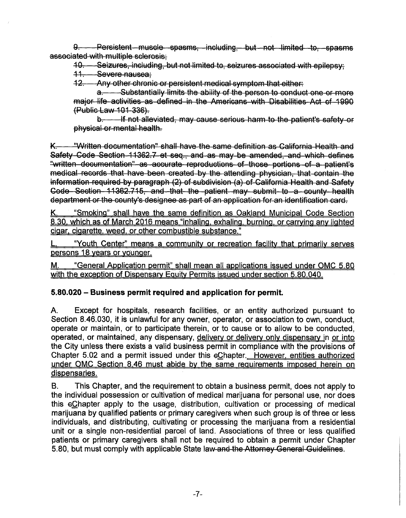8. - Persistent muscle spasms, including, but not limited to, spasms associated with multiple sclerosis;

10. Seizures, including, but not limited to, seizures associated with epilepsy;

*44-.* Severe nausea;

12. Any other chronic or persistent medical symptom that either:

a —— Substantially limits the ability of the person to conduct one or more major life activities as defined in the Americans with Disabilities Act of 1990 (Public Law 101 336).

b. - If not alleviated, may cause serious harm to the patient's safety or physical or mental health.

"Written documentation" shall have the same definition as California Health and K. Safety Code Section 11362.7 et seq., and as may be amended, and which defines "written documentation" as accurate reproductions of those portions of a patient's medical records that have been created by the attending physician, that contain the information required by paragraph (2) of subdivision (a) of California Health and Safoty Code Section 11362.715, and that the patient may submit to a county health department or the county's designee as part of an application for an identification card.

K. "Smoking" shall have the same definition as Oakland Municipal Code Section 8.30. which as of March 2016 means "inhaling, exhaling, burning, or carrying anv lighted cigar, cigarette, weed, or other combustible substance."

"Youth Center" means a community or recreation facility that primarily serves persons 18 years or younger.

M. "General Application permit" shall mean all applications issued under QMC 5.80 with the exception of Dispensary Equity Permits issued under section 5.80.040.

# **5.80.020 - Business permit required and application for permit.**

A. Except for hospitals, research facilities, or an entity authorized pursuant to Section 8.46.030, it is unlawful for any owner, operator, or association to own, conduct, operate or maintain, or to participate therein, or to cause or to allow to be conducted, operated, or maintained, any dispensary, delivery or delivery only dispensary in or into the City unless there exists a valid business permit in compliance with the provisions of Chapter 5.02 and a permit issued under this eChapter. However, entities authorized under QMC Section 8.46 must abide bv the same reguirements imposed herein on dispensaries.

B. This Chapter, and the requirement to obtain a business permit, does not apply to the individual possession or cultivation of medical marijuana for personal use, nor does this eQhapter apply to the usage, distribution, cultivation or processing of medical marijuana by qualified patients or primary caregivers when such group is of three or less individuals, and distributing, cultivating or processing the marijuana from a residential unit or a single non-residential parcel of land. Associations of three or less qualified patients or primary caregivers shall not be required to obtain a permit under Chapter 5.80, but must comply with applicable State law and the Attorney General Guidelines.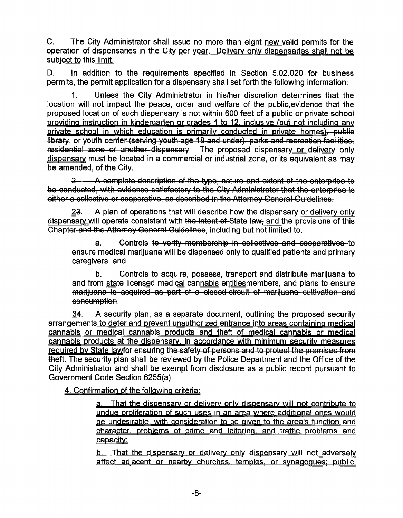C. The City Administrator shall issue no more than eight new valid permits for the operation of dispensaries in the City per year. Delivery only dispensaries shall not be subject to this limit.

D. In addition to the requirements specified in Section 5.02.020 for business permits, the permit application for a dispensary shall set forth the following information:

1. Unless the City Administrator in his/her discretion determines that the location will not impact the peace, order and welfare of the public-evidence that the proposed location of such dispensary is not within 600 feet of a public or private school providing instruction in kindergarten or grades 1 to 12. inclusive (but not including anv private school in which education is primarily conducted in private homes), public library, or youth center (serving youth age 18 and under), parks and recreation facilities, residential zone or another dispensary. The proposed dispensary or delivery only dispensary must be located in a commercial or industrial zone, or its equivalent as may be amended, of the City.

*2r.* A complete description of the type, nature and extent of the enterprise to be conducted, with evidence satisfactory to the City Administrator that the enterprise is either a collective or cooperative, as described in the Attorney General Guidelines.

23. A plan of operations that will describe how the dispensary or delivery only dispensary will operate consistent with the intent of State law. and the provisions of this Chapter and the Attorney General Guidelines, including but not limited to:

a. Controls to verify membership in collectives and cooperatives to ensure medical marijuana will be dispensed only to qualified patients and primary caregivers, and

b. Controls to acquire, possess, transport and distribute marijuana to and from state licensed medical cannabis entitiesmembers. and plans to ensure marijuana is acquired as part of a closed circuit of marijuana cultivation and consumption.

 $34.$  A security plan, as a separate document, outlining the proposed security arrangements to deter and prevent unauthorized entrance into areas containing medical cannabis or medical cannabis products and theft of medical cannabis or medical cannabis products at the dispensary, in accordance with minimum security measures required by State lawfor ensuring the safety of persons and to protect the premises from theft. The security plan shall be reviewed by the Police Department and the Office of the City Administrator and shall be exempt from disclosure as a public record pursuant to Government Code Section 6255(a).

4. Confirmation of the following criteria:

a. That the dispensary or delivery only dispensary will not contribute to undue proliferation of such uses in an area where additional ones would be undesirable, with consideration to be given to the area's function and character, problems of crime and loitering, and traffic problems and capacity:

b. That the dispensary or delivery only dispensary will not adversely affect adjacent or nearby churches, temples, or synagogues: public.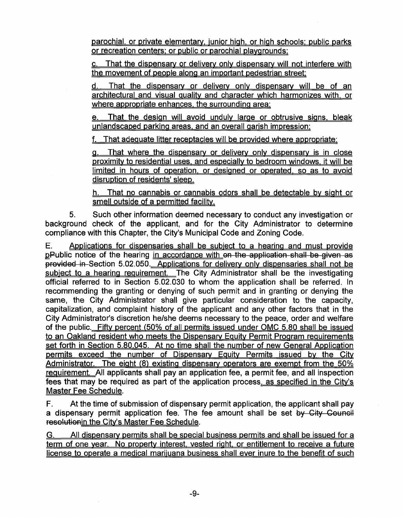parochial, or private elementary, junior high, or high schools: public parks or recreation centers: or public or parochial playgrounds:

That the dispensary or delivery only dispensary will not interfere with the movement of people along an important pedestrian street:

d. That the dispensary or delivery only dispensary will be of an architectural and visual quality and character which harmonizes with, or where appropriate enhances, the surrounding area;

e. That the design will avoid unduly large or obtrusive signs, bleak unlandscaped parking areas, and an overall garish impression;

f. That adequate litter receptacles will be provided where appropriate:

g. That where the dispensary or delivery only dispensary is in close proximity to residential uses, and especially to bedroom windows, it will be limited in hours of operation, or designed or operated, so as to avoid disruption of residents' sleep.

h. That no cannabis or cannabis odors shall be detectable bv sight or smell outside of a permitted facility.

5. Such other information deemed necessary to conduct any investigation or background check of the applicant, and for the City Administrator to determine compliance with this Chapter, the City's Municipal Code and Zoning Code.

E. Applications for dispensaries shall be subject to a hearing and must provide pPublic notice of the hearing in accordance with on the application shall be given as provided in Section 5.02.050. Applications for delivery only dispensaries shall not be subject to a hearing requirement. The City Administrator shall be the investigating official referred to in Section 5.02.030 to whom the application shall be referred. In recommending the granting or denying of such permit and in granting or denying the same, the City Administrator shall give particular consideration to the capacity, capitalization, and complaint history of the applicant and any other factors that in the City Administrator's discretion he/she deems necessary to the peace, order and welfare of the public. Fifty percent (50% of all permits issued under OMC 5.80 shall be issued to an Oakland resident who meets the Dispensary Eouitv Permit Program reguirements set forth in Section 5.80.045. At no time shall the number of new General Application permits exceed the number of Dispensary Equity Permits issued by the City Administrator. The eight (8) existing dispensary operators are exempt from the 50% reguirement. All applicants shall pay an application fee, a permit fee, and all inspection fees that may be required as part of the application process, as specified in the City's Master Fee Schedule.

F. At the time of submission of dispensary permit application, the applicant shall pay a dispensary permit application fee. The fee amount shall be set by City Council resolutionin the City's Master Fee Schedule.

G. All dispensary permits shall be special business permits and shall be issued for a term of one year. No property interest, vested right, or entitlement to receive a future license to operate a medical marijuana business shall ever inure to the benefit of such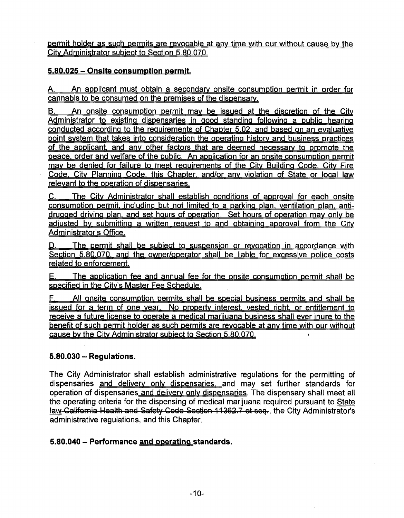permit holder as such permits are revocable at any time with our without cause by the Citv Administrator subject to Section 5.80.070.

## **5.80.025 - Onsite consumption permit.**

A. An applicant must obtain a secondary onsite consumption permit in order for cannabis to be consumed on the premises of the dispensary.

B. An onsite consumption permit may be issued at the discretion of the City Administrator to existing dispensaries in good standing following a public hearing conducted according to the reouirements of Chapter 5.02. and based on an evaluative point system that takes into consideration the operating history and business practices of the applicant, and anv other factors that are deemed necessary to promote the peace, order and welfare of the public. An application for an onsite consumption permit may be denied for failure to meet requirements of the City Building Code. City Fire Code. Citv Planning Code, this Chapter, and/or anv violation of State or local law relevant to the operation of dispensaries.

C. The Citv Administrator shall establish conditions of approval for each onsite consumption permit, including but not limited to a parking plan, ventilation plan, antidruaged driving plan, and set hours of operation. Set hours of operation mav only be adjusted bv submitting a written reouest to and obtaining approval from the Citv Administrator's Office.

The permit shall be subject to suspension or revocation in accordance with Section 5.80.070. and the owner/operator shall be liable for excessive police costs related to enforcement.

E. The application fee and annual fee for the onsite consumption permit shall be specified in the City's Master Fee Schedule.

All onsite consumption permits shall be special business permits and shall be issued for a term of one year. No property interest, vested right, or entitlement to receive a future license to operate a medical marijuana business shall ever inure to the benefit of such permit holder as such permits are revocable at anv time with our without cause bv the Citv Administrator subject to Section 5.80.070.

## **5.80.030 - Regulations.**

The City Administrator shall establish administrative regulations for the permitting of dispensaries and delivery only dispensaries, and may set further standards for operation of dispensaries and delivery only dispensaries. The dispensary shall meet all the operating criteria for the dispensing of medical marijuana required pursuant to State law California Health and Safety Code Section 11362.7 et sea., the City Administrator's administrative regulations, and this Chapter.

## **5.80.040 - Performance and operating standards.**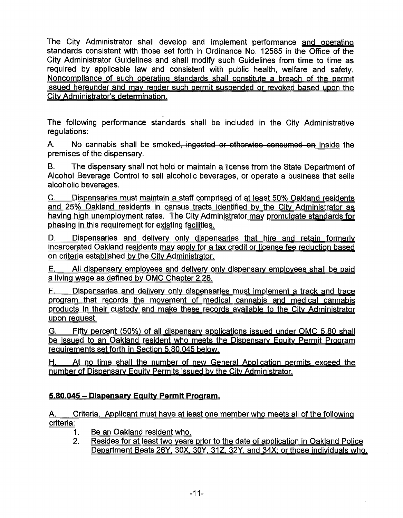The City Administrator shall develop and implement performance and operating standards consistent with those set forth in Ordinance No. 12585 in the Office of the City Administrator Guidelines and shall modify such Guidelines from time to time as required by applicable law and consistent with public health, welfare and safety. Noncompliance of such operating standards shall constitute a breach of the permit issued hereunder and mav render such permit suspended or revoked based upon the Citv Administrator's determination.

The following performance standards shall be included in the City Administrative regulations:

A. No cannabis shall be smoked<del>, ingested or otherwise consumed on inside</del> the premises of the dispensary.

B. The dispensary shall not hold or maintain a license from the State Department of Alcohol Beverage Control to sell alcoholic beverages, or operate a business that sells alcoholic beverages.

C. Dispensaries must maintain a staff comprised of at least 50% Oakland residents and 25% Oakland residents in census tracts identified bv the Citv Administrator as having high unemployment rates. The Citv Administrator mav promulgate standards for phasing in this reguirement for existing facilities.

D. Dispensaries and delivery only dispensaries that hire and retain formerly incarcerated Oakland residents mav apply for a tax credit or license fee reduction based on criteria established bv the Citv Administrator.

E. All dispensary employees and delivery only dispensary employees shall be paid a living wage as defined bv OMC Chapter 2.28.

F. Dispensaries and delivery only dispensaries must implement a track and trace program that records the movement of medical cannabis and medical cannabis products in their custody and make these records available to the Citv Administrator upon request.

G. Fifty percent (50%) of all dispensary applications issued under OMC 5.80 shall be issued to an Oakland resident who meets the Dispensary Equity Permit Program reguirements set forth in Section 5.80.045 below.

H. At no time shall the number of new General Application permits exceed the number of Dispensary Equity Permits issued by the City Administrator.

# **5.80.045 - Dispensary Eauitv Permit Program.**

A. Criteria. Applicant must have at least one member who meets all of the following criteria:

- 1. Be an Oakland resident who.
- 2. Resides for at least two years prior to the date of application in Oakland Police Department Beats 26Y. 30X. 3QY. 31Z. 32Y. and 34X: or those individuals who.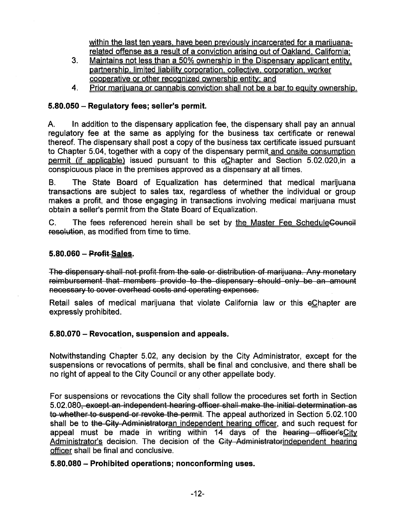within the last ten years, have been previously incarcerated for a marijuanarelated offense as a result of a conviction arising out of Oakland. California:

- 3. Maintains not less than a 50% ownership in the Dispensary applicant entitypartnership. limited liability corporation, collective, corporation, worker cooperative or other recognized ownership entity: and
- 4. Prior marijuana or cannabis conviction shall not be a bar to equity ownership.

# **5.80.050 - Regulatory fees; seller's permit.**

A. In addition to the dispensary application fee, the dispensary shall pay an annual regulatory fee at the same as applying for the business tax certificate or renewal thereof. The dispensary shall post a copy of the business tax certificate issued pursuant to Chapter 5.04, together with a copy of the dispensary permit and onsite consumption permit (if applicable) issued pursuant to this eChapter and Section 5.02.020,in a conspicuous place in the premises approved as a dispensary at all times.

B. The State Board of Equalization has determined that medical marijuana transactions are subject to sales tax, regardless of whether the individual or group makes a profit, and those engaging in transactions involving medical marijuana must obtain a seller's permit from the State Board of Equalization.

C. The fees referenced herein shall be set by the Master Fee ScheduleCouncil resolution, as modified from time to time.

# **5.80.060 - Profit-Sales.**

The dispensary shall not profit from the sale or distribution of marijuana. Any monetary reimbursement that members provide to the dispensary should only be an amount necessary to cover overhead costs and operating expenses.

Retail sales of medical marijuana that violate California law or this eChapter are expressly prohibited.

# **5.80.070 - Revocation, suspension and appeals.**

Notwithstanding Chapter 5.02, any decision by the City Administrator, except for the suspensions or revocations of permits, shall be final and conclusive, and there shall be no right of appeal to the City Council or any other appellate body.

For suspensions or revocations the City shall follow the procedures set forth in Section 5.02.080, except an independent hearing officer shall make the initial determination as to whether to suspend or revoke the permit. The appeal authorized in Section 5.02.100 shall be to the City Administratoran independent hearing officer, and such request for appeal must be made in writing within 14 days of the hearing officer's City Administrator's decision. The decision of the City Administratorindependent hearing officer shall be final and conclusive.

# **5.80.080 - Prohibited operations; nonconforming uses.**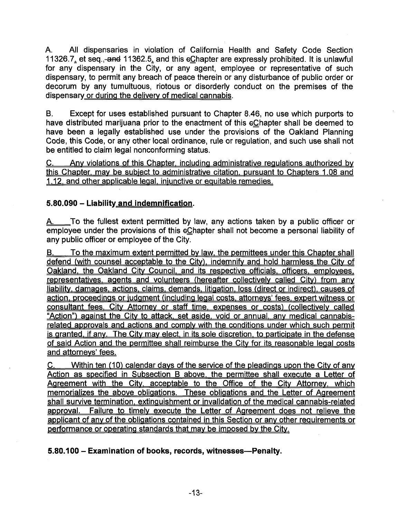A. All dispensaries in violation of California Health and Safety Code Section 11326.7 $\frac{1}{2}$  et seq.,-and 11362.5, and this eChapter are expressly prohibited. It is unlawful for any dispensary in the City, or any agent, employee or representative of such dispensary, to permit any breach of peace therein or any disturbance of public order or decorum by any tumultuous, riotous or disorderly conduct on the premises of the dispensary or during the delivery of medical cannabis.

B. Except for uses established pursuant to Chapter 8.46, no use which purports to have distributed marijuana prior to the enactment of this eChapter shall be deemed to have been a legally established use under the provisions of the Oakland Planning Code, this Code, or any other local ordinance, rule or regulation, and such use shall not be entitled to claim legal nonconforming status.

C. Anv violations of this Chapter, including administrative regulations authorized bv this Chapter, mav be subject to administrative citation, pursuant to Chapters 1.08 and 1.12. and other applicable legal, injunctive or equitable remedies.

# **5.80.090 - Liability and indemnification.**

A. To the fullest extent permitted by law, any actions taken by a public officer or employee under the provisions of this eChapter shall not become a personal liability of any public officer or employee of the City.

B. To the maximum extent permitted by law, the permittees under this Chapter shall defend (with counsel acceptable to the City), indemnify and hold harmless the City of Oakland, the Oakland Citv Council, and its respective officials, officers, employees, representatives, agents and volunteers (hereafter collectively called City) from any liability, damages, actions, claims, demands, litigation, loss (direct or indirect), causes of action, proceedings or judgment (including legal costs, attorneys' fees, expert witness or consultant fees. City Attorney or staff time, expenses or costs) (collectively called "Action") against the City to attack, set aside, void or annual, any medical cannabisrelated approvals and actions and comply with the conditions under which such permit is granted, if anv. The Citv mav elect, in its sole discretion, to participate in the defense of said Action and the permittee shall reimburse the Citv for its reasonable legal costs and attorneys' fees.

 $C_{\cdot}$  Within ten (10) calendar days of the service of the pleadings upon the City of any Action as specified in Subsection B above, the permittee shall execute a Letter of Agreement with the City, acceptable to the Office of the City Attorney, which memorializes the above obligations. These obligations and the Letter of Agreement shall survive termination, extinguishment or invalidation of the medical cannabis-related approval. Failure to timely execute the Letter of Agreement does not relieve the applicant of any of the obligations contained in this Section or any other requirements or performance or operating standards that mav be imposed bv the Citv.

**5.80.100 - Examination of books, records, witnesses—Penalty.**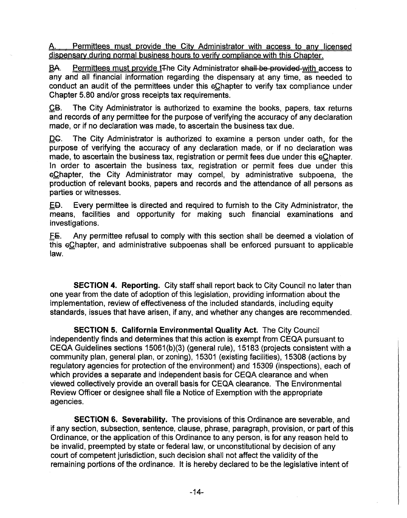A. Permittees must provide the City Administrator with access to anv licensed dispensary during normal business hours to verify compliance with this Chapter.

BA. Permittees must provide t<sub>the</sub> City Administrator shall be provided with access to any and all financial information regarding the dispensary at any time, as needed to conduct an audit of the permittees under this eChapter to verify tax compliance under Chapter 5.80 and/or gross receipts tax requirements.

CB. The City Administrator is authorized to examine the books, papers, tax returns and records of any permittee for the purpose of verifying the accuracy of any declaration made, or if no declaration was made, to ascertain the business tax due.

DC. The City Administrator is authorized to examine a person under oath, for the purpose of verifying the accuracy of any declaration made, or if no declaration was made, to ascertain the business tax, registration or permit fees due under this eChapter. In order to ascertain the business tax, registration or permit fees due under this ©Chapter, the City Administrator may compel, by administrative subpoena, the production of relevant books, papers and records and the attendance of all persons as parties or witnesses.

£©. Every permittee is directed and required to furnish to the City Administrator, the means, facilities and opportunity for making such financial examinations and investigations.

E£. Any permittee refusal to comply with this section shall be deemed a violation of this ©Chapter, and administrative subpoenas shall be enforced pursuant to applicable law.

**SECTION 4. Reporting.** City staff shall report back to City Council no later than one year from the date of adoption of this legislation, providing information about the implementation, review of effectiveness of the included standards, including equity standards, issues that have arisen, if any, and whether any changes are recommended.

**SECTION 5. California Environmental Quality Act.** The City Council independently finds and determines that this action is exempt from CEQA pursuant to CEQA Guidelines sections 15061(b)(3) (general rule), 15183 (projects consistent with a community plan, general plan, or zoning), 15301 (existing facilities), 15308 (actions by regulatory agencies for protection of the environment) and 15309 (inspections), each of which provides a separate and independent basis for CEQA clearance and when viewed collectively provide an overall basis for CEQA clearance. The Environmental Review Officer or designee shall file a Notice of Exemption with the appropriate agencies.

**SECTION 6. Severability.** The provisions of this Ordinance are severable, and if any section, subsection, sentence, clause, phrase, paragraph, provision, or part of this Ordinance, or the application of this Ordinance to any person, is for any reason held to be invalid, preempted by state or federal law, or unconstitutional by decision of any court of competent jurisdiction, such decision shall not affect the validity of the remaining portions of the ordinance. It is hereby declared to be the legislative intent of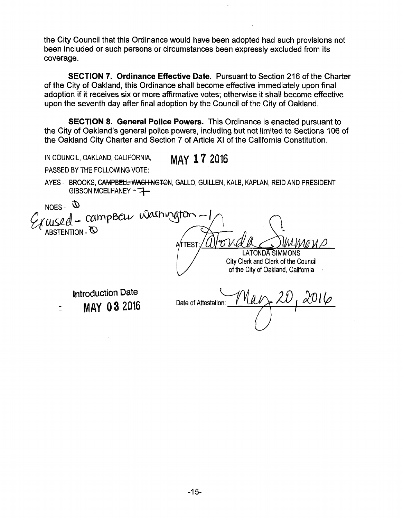the City Council that this Ordinance would have been adopted had such provisions not been included or such persons or circumstances been expressly excluded from its coverage.

**SECTION 7. Ordinance Effective Date.** Pursuant to Section 216 of the Charter of the City of Oakland, this Ordinance shall become effective immediately upon final adoption if it receives six or more affirmative votes; otherwise it shall become effective upon the seventh day after final adoption by the Council of the City of Oakland.

**SECTION 8. General Police Powers.** This Ordinance is enacted pursuant to the City of Oakland's general police powers, including but not limited to Sections 106 of the Oakland City Charter and Section 7 of Article XI of the California Constitution.

IN COUNCIL, OAKLAND, CALIFORNIA, MAY 17 2016

PASSED BY THE FOLLOWING VOTE:

AYES - BROOKS, CAMPBELL-WASHINGTON, GALLO, GUILLEN, KALB, KAPLAN, REID AND PRESIDENT GIBSON MCELHANEY ~ - - - +

 $C_{\ell}$  unsed - campbel washington ATTEST:/*U*  LATONDA SIMMONS City Clerk and Clerk of the Council of the City of Oakland, California NOES-  $\Phi$ 

Introduction Date MAY 0 3 2016 Date of Attestation:

 $\bar{z}$ 

 $2016$